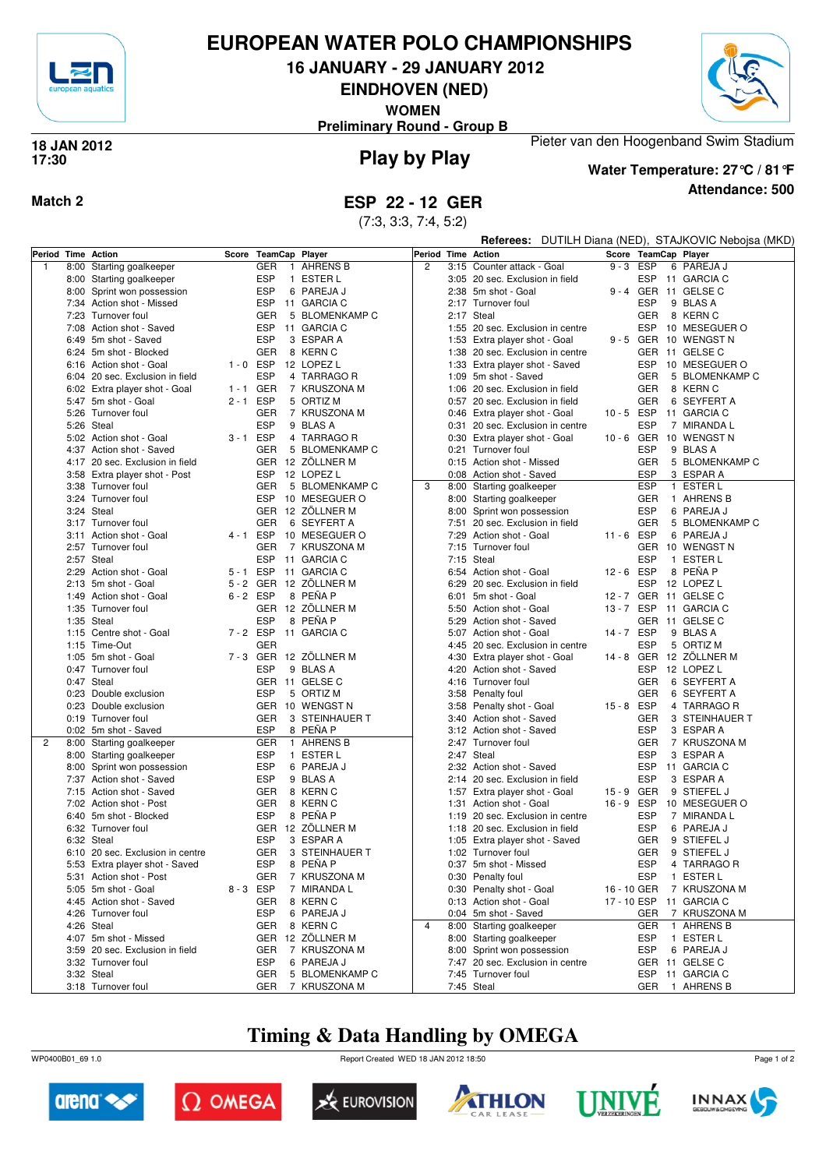

## **EUROPEAN WATER POLO CHAMPIONSHIPS**

**16 JANUARY - 29 JANUARY 2012**

**EINDHOVEN (NED)**

**WOMEN**

**Preliminary Round - Group B**



### **Play by Play 18 JAN 2012 17:30**



**Water Temperature: 27°C / 81°F**

Pieter van den Hoogenband Swim Stadium

**Attendance: 500**

**Match 2 ESP 22 - 12 GER**

(7:3, 3:3, 7:4, 5:2)

|              |                                  |             |                              | Referees: DUTILH Diana (NED), STAJKOVIC Nebojsa (MKD) |                |      |                                  |  |             |  |                      |
|--------------|----------------------------------|-------------|------------------------------|-------------------------------------------------------|----------------|------|----------------------------------|--|-------------|--|----------------------|
|              | Period Time Action               | Score       | TeamCap Player               |                                                       | Period         |      | <b>Time Action</b>               |  |             |  | Score TeamCap Player |
| $\mathbf{1}$ | 8:00 Starting goalkeeper         |             | <b>GER</b><br>$\mathbf{1}$   | AHRENS B                                              | $\overline{c}$ |      | 3:15 Counter attack - Goal       |  | $9 - 3$ ESP |  | 6 PAREJA J           |
|              | 8:00 Starting goalkeeper         |             | ESP                          | 1 ESTER L                                             |                |      | 3:05 20 sec. Exclusion in field  |  | ESP         |  | 11 GARCIA C          |
|              | 8:00 Sprint won possession       |             | <b>ESP</b>                   | 6 PAREJA J                                            |                |      | 2:38 5m shot - Goal              |  | $9 - 4$ GER |  | 11 GELSE C           |
|              | 7:34 Action shot - Missed        |             | <b>ESP</b>                   | 11 GARCIA C                                           |                | 2:17 | Turnover foul                    |  | <b>ESP</b>  |  | 9 BLAS A             |
|              | 7:23 Turnover foul               |             | <b>GER</b>                   | 5 BLOMENKAMP C                                        |                |      | 2:17 Steal                       |  | <b>GER</b>  |  | 8 KERN C             |
|              | 7:08 Action shot - Saved         |             | ESP                          | 11 GARCIA C                                           |                |      | 1:55 20 sec. Exclusion in centre |  | ESP         |  | 10 MESEGUER O        |
|              | 6:49 5m shot - Saved             |             | ESP                          | 3 ESPAR A                                             |                |      | 1:53 Extra player shot - Goal    |  |             |  | 9-5 GER 10 WENGSTN   |
|              | 6:24 5m shot - Blocked           |             | <b>GER</b>                   | 8 KERN C                                              |                |      | 1:38 20 sec. Exclusion in centre |  |             |  | GER 11 GELSE C       |
|              | 6:16 Action shot - Goal          | $1 - 0$ ESP |                              | 12 LOPEZ L                                            |                |      | 1:33 Extra player shot - Saved   |  | ESP         |  | 10 MESEGUER O        |
|              | 6:04 20 sec. Exclusion in field  |             | <b>ESP</b>                   | 4 TARRAGO R                                           |                |      | 1:09 5m shot - Saved             |  | <b>GER</b>  |  | 5 BLOMENKAMP C       |
|              | 6:02 Extra player shot - Goal    | $1 - 1$ GER |                              | 7 KRUSZONA M                                          |                |      | 1:06 20 sec. Exclusion in field  |  | <b>GER</b>  |  | 8 KERN C             |
|              | 5:47 5m shot - Goal              | $2 - 1$ ESP |                              | 5 ORTIZ M                                             |                |      | 0:57 20 sec. Exclusion in field  |  | <b>GER</b>  |  | 6 SEYFERT A          |
|              | 5:26 Turnover foul               |             | <b>GER</b>                   | 7 KRUSZONA M                                          |                |      | 0:46 Extra player shot - Goal    |  | 10-5 ESP    |  | 11 GARCIA C          |
|              | 5:26 Steal                       |             | ESP                          | 9 BLAS A                                              |                |      | 0:31 20 sec. Exclusion in centre |  | <b>ESP</b>  |  | 7 MIRANDA L          |
|              | 5:02 Action shot - Goal          | $3 - 1$ ESP |                              | 4 TARRAGO R                                           |                |      | 0:30 Extra player shot - Goal    |  | 10-6 GER    |  | 10 WENGST N          |
|              | 4:37 Action shot - Saved         |             | <b>GER</b>                   | 5 BLOMENKAMP C                                        |                |      | 0:21 Turnover foul               |  | <b>ESP</b>  |  | 9 BLAS A             |
|              | 4:17 20 sec. Exclusion in field  |             |                              | GER 12 ZÖLLNER M                                      |                |      | 0:15 Action shot - Missed        |  | <b>GER</b>  |  | 5 BLOMENKAMP C       |
|              | 3:58 Extra player shot - Post    |             | <b>ESP</b>                   | 12 LOPEZ L                                            |                |      | 0:08 Action shot - Saved         |  | <b>ESP</b>  |  | 3 ESPAR A            |
|              | 3:38 Turnover foul               |             | <b>GER</b>                   | 5 BLOMENKAMP C                                        | 3              |      | 8:00 Starting goalkeeper         |  | <b>ESP</b>  |  | 1 ESTER L            |
|              | 3:24 Turnover foul               |             | <b>ESP</b>                   | 10 MESEGUER O                                         |                |      | 8:00 Starting goalkeeper         |  | <b>GER</b>  |  | 1 AHRENS B           |
|              | 3:24 Steal                       |             |                              | GER 12 ZÖLLNER M                                      |                |      | 8:00 Sprint won possession       |  | <b>ESP</b>  |  | 6 PAREJA J           |
|              | 3:17 Turnover foul               |             | <b>GER</b>                   | 6 SEYFERT A                                           |                |      | 7:51 20 sec. Exclusion in field  |  | <b>GER</b>  |  | 5 BLOMENKAMP C       |
|              | 3:11 Action shot - Goal          | 4-1 ESP     |                              | 10 MESEGUER O                                         |                |      | 7:29 Action shot - Goal          |  | 11-6 ESP    |  | 6 PAREJA J           |
|              | 2:57 Turnover foul               |             | <b>GER</b><br>$\overline{7}$ | <b>KRUSZONA M</b>                                     |                |      | 7:15 Turnover foul               |  | <b>GER</b>  |  | 10 WENGST N          |
|              | 2:57 Steal                       |             | <b>ESP</b>                   | 11 GARCIA C                                           |                |      | 7:15 Steal                       |  | <b>ESP</b>  |  | 1 ESTER L            |
|              | 2:29 Action shot - Goal          | $5 - 1$ ESP |                              | 11 GARCIA C                                           |                |      | 6:54 Action shot - Goal          |  | 12-6 ESP    |  | 8 PEÑA P             |
|              | 2:13 5m shot - Goal              |             |                              | 5 - 2 GER 12 ZÖLLNER M                                |                |      | 6:29 20 sec. Exclusion in field  |  | ESP         |  | 12 LOPEZ L           |
|              | 1:49 Action shot - Goal          | $6 - 2$ ESP |                              | 8 PENA P                                              |                | 6:01 | 5m shot - Goal                   |  | 12 - 7 GER  |  | 11 GELSE C           |
|              | 1:35 Turnover foul               |             |                              | GER 12 ZOLLNER M                                      |                |      | 5:50 Action shot - Goal          |  | 13-7 ESP    |  | 11 GARCIA C          |
|              | 1:35 Steal                       |             | ESP                          | 8 PEÑA P                                              |                | 5:29 | Action shot - Saved              |  | <b>GER</b>  |  | 11 GELSE C           |
|              | 1:15 Centre shot - Goal          | 7-2 ESP     |                              | 11 GARCIA C                                           |                |      | 5:07 Action shot - Goal          |  | 14 - 7 ESP  |  | 9 BLAS A             |
|              | 1:15 Time-Out                    |             | <b>GER</b>                   |                                                       |                |      | 4:45 20 sec. Exclusion in centre |  | <b>ESP</b>  |  | 5 ORTIZ M            |
|              | 1:05 5m shot - Goal              | 7-3 GER     |                              | 12 ZÖLLNER M                                          |                |      | 4:30 Extra player shot - Goal    |  | 14 - 8 GER  |  | 12 ZÖLLNER M         |
|              | 0:47 Turnover foul               |             | <b>ESP</b>                   | 9 BLAS A                                              |                |      | 4:20 Action shot - Saved         |  | <b>ESP</b>  |  | 12 LOPEZ L           |
|              | 0:47 Steal                       |             |                              | GER 11 GELSE C                                        |                |      | 4:16 Turnover foul               |  | <b>GER</b>  |  | 6 SEYFERT A          |
|              | 0:23 Double exclusion            |             | ESP                          | 5 ORTIZ M                                             |                |      | 3:58 Penalty foul                |  | GER         |  | 6 SEYFERT A          |
|              | 0:23 Double exclusion            |             |                              | GER 10 WENGST N                                       |                |      | 3:58 Penalty shot - Goal         |  | 15-8 ESP    |  | 4 TARRAGO R          |
|              | 0:19 Turnover foul               |             | <b>GER</b>                   | 3 STEINHAUER T                                        |                |      | 3:40 Action shot - Saved         |  | GER         |  | 3 STEINHAUER T       |
|              | 0:02 5m shot - Saved             |             | <b>ESP</b>                   | 8 PEÑA P                                              |                | 3:12 | Action shot - Saved              |  | <b>ESP</b>  |  | 3 ESPAR A            |
| 2            | 8:00 Starting goalkeeper         |             | <b>GER</b>                   | 1 AHRENS B                                            |                |      | 2:47 Turnover foul               |  | <b>GER</b>  |  | 7 KRUSZONA M         |
|              | 8:00 Starting goalkeeper         |             | ESP<br>$\mathbf{1}$          | ESTER L                                               |                |      | 2:47 Steal                       |  | <b>ESP</b>  |  | 3 ESPAR A            |
|              | 8:00 Sprint won possession       |             | ESP                          | 6 PAREJA J                                            |                |      | 2:32 Action shot - Saved         |  | ESP         |  | 11 GARCIA C          |
|              | 7:37 Action shot - Saved         |             | ESP                          | 9 BLAS A                                              |                | 2:14 | 20 sec. Exclusion in field       |  | <b>ESP</b>  |  | 3 ESPAR A            |
|              | 7:15 Action shot - Saved         |             | <b>GER</b>                   | 8 KERN C                                              |                |      | 1:57 Extra player shot - Goal    |  | 15 - 9 GER  |  | 9 STIEFEL J          |
|              | 7:02 Action shot - Post          |             | <b>GER</b>                   | 8 KERN C                                              |                |      | 1:31 Action shot - Goal          |  | 16-9 ESP    |  | 10 MESEGUER O        |
|              | 6:40 5m shot - Blocked           |             | <b>ESP</b>                   | 8 PENA P                                              |                |      | 1:19 20 sec. Exclusion in centre |  | <b>ESP</b>  |  | 7 MIRANDA L          |
|              | 6:32 Turnover foul               |             | <b>GER</b>                   | 12 ZÖLLNER M                                          |                | 1:18 | 20 sec. Exclusion in field       |  | <b>ESP</b>  |  | 6 PAREJA J           |
|              | 6:32 Steal                       |             | ESP                          | 3 ESPAR A                                             |                |      | 1:05 Extra player shot - Saved   |  | <b>GER</b>  |  | 9 STIEFEL J          |
|              | 6:10 20 sec. Exclusion in centre |             | <b>GER</b>                   | 3 STEINHAUER T                                        |                |      | 1:02 Turnover foul               |  | GER         |  | 9 STIEFEL J          |
|              | 5:53 Extra player shot - Saved   |             | ESP                          | 8 PENA P                                              |                |      | 0:37 5m shot - Missed            |  | ESP         |  | 4 TARRAGO R          |
|              | 5:31 Action shot - Post          |             | GER                          | 7 KRUSZONA M                                          |                |      | 0:30 Penalty foul                |  | ESP         |  | 1 ESTER L            |
|              | 5:05 5m shot - Goal              | 8-3 ESP     |                              | 7 MIRANDA L                                           |                |      | 0:30 Penalty shot - Goal         |  | 16 - 10 GER |  | 7 KRUSZONA M         |
|              | 4:45 Action shot - Saved         |             | GER                          | 8 KERN C                                              |                |      | 0:13 Action shot - Goal          |  | 17 - 10 ESP |  | 11 GARCIA C          |
|              | 4:26 Turnover foul               |             | <b>ESP</b>                   | 6 PAREJA J                                            |                |      | 0:04 5m shot - Saved             |  | GER         |  | 7 KRUSZONA M         |
|              | 4:26 Steal                       |             | GER                          | 8 KERN C                                              | 4              |      | 8:00 Starting goalkeeper         |  | GER         |  | 1 AHRENS B           |
|              | 4:07 5m shot - Missed            |             | GER                          | 12 ZÖLLNER M                                          |                |      | 8:00 Starting goalkeeper         |  | ESP         |  | 1 ESTER L            |
|              | 3:59 20 sec. Exclusion in field  |             | GER                          | 7 KRUSZONA M                                          |                |      | 8:00 Sprint won possession       |  | ESP         |  | 6 PAREJA J           |
|              | 3:32 Turnover foul               |             | ESP                          | 6 PAREJA J                                            |                |      | 7:47 20 sec. Exclusion in centre |  |             |  | GER 11 GELSE C       |
|              | 3:32 Steal                       |             | GER                          | 5 BLOMENKAMP C                                        |                |      | 7:45 Turnover foul               |  |             |  | ESP 11 GARCIA C      |
|              | 3:18 Turnover foul               |             | GER                          | 7 KRUSZONA M                                          |                |      | 7:45 Steal                       |  |             |  | GER 1 AHRENS B       |

# **Timing & Data Handling by OMEGA**

WP0400B01\_69 1.0 Report Created WED 18 JAN 2012 18:50













Page 1 of 2